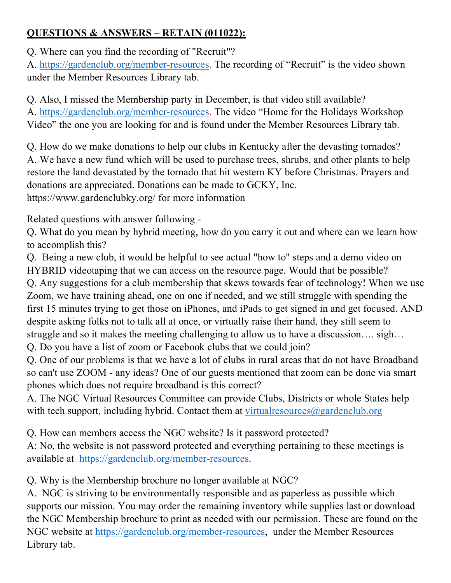## **QUESTIONS & ANSWERS – RETAIN (011022):**

Q. Where can you find the recording of "Recruit"?

A. https://gardenclub.org/member-resources. The recording of "Recruit" is the video shown under the Member Resources Library tab.

Q. Also, I missed the Membership party in December, is that video still available? A. https://gardenclub.org/member-resources. The video "Home for the Holidays Workshop Video" the one you are looking for and is found under the Member Resources Library tab.

Q. How do we make donations to help our clubs in Kentucky after the devasting tornados? A. We have a new fund which will be used to purchase trees, shrubs, and other plants to help restore the land devastated by the tornado that hit western KY before Christmas. Prayers and donations are appreciated. Donations can be made to GCKY, Inc. https://www.gardenclubky.org/ for more information

Related questions with answer following -

Q. What do you mean by hybrid meeting, how do you carry it out and where can we learn how to accomplish this?

Q. Being a new club, it would be helpful to see actual "how to" steps and a demo video on HYBRID videotaping that we can access on the resource page. Would that be possible?

Q. Any suggestions for a club membership that skews towards fear of technology! When we use Zoom, we have training ahead, one on one if needed, and we still struggle with spending the first 15 minutes trying to get those on iPhones, and iPads to get signed in and get focused. AND despite asking folks not to talk all at once, or virtually raise their hand, they still seem to struggle and so it makes the meeting challenging to allow us to have a discussion…. sigh…

Q. Do you have a list of zoom or Facebook clubs that we could join?

Q. One of our problems is that we have a lot of clubs in rural areas that do not have Broadband so can't use ZOOM - any ideas? One of our guests mentioned that zoom can be done via smart phones which does not require broadband is this correct?

A. The NGC Virtual Resources Committee can provide Clubs, Districts or whole States help with tech support, including hybrid. Contact them at virtual resources  $\omega$  gardenclub.org

Q. How can members access the NGC website? Is it password protected?

A: No, the website is not password protected and everything pertaining to these meetings is available at https://gardenclub.org/member-resources.

Q. Why is the Membership brochure no longer available at NGC?

A. NGC is striving to be environmentally responsible and as paperless as possible which supports our mission. You may order the remaining inventory while supplies last or download the NGC Membership brochure to print as needed with our permission. These are found on the NGC website at https://gardenclub.org/member-resources, under the Member Resources Library tab.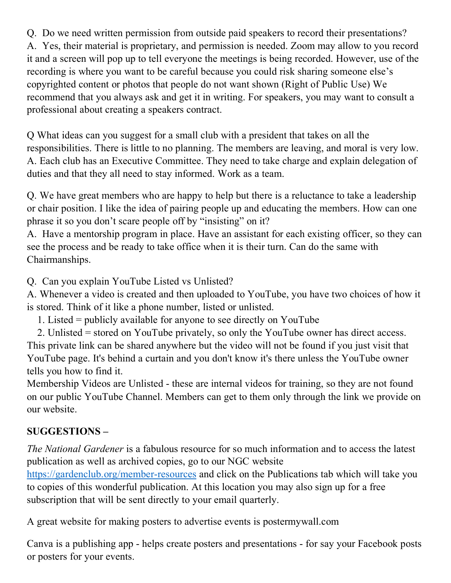Q. Do we need written permission from outside paid speakers to record their presentations? A. Yes, their material is proprietary, and permission is needed. Zoom may allow to you record it and a screen will pop up to tell everyone the meetings is being recorded. However, use of the recording is where you want to be careful because you could risk sharing someone else's copyrighted content or photos that people do not want shown (Right of Public Use) We recommend that you always ask and get it in writing. For speakers, you may want to consult a professional about creating a speakers contract.

Q What ideas can you suggest for a small club with a president that takes on all the responsibilities. There is little to no planning. The members are leaving, and moral is very low. A. Each club has an Executive Committee. They need to take charge and explain delegation of duties and that they all need to stay informed. Work as a team.

Q. We have great members who are happy to help but there is a reluctance to take a leadership or chair position. I like the idea of pairing people up and educating the members. How can one phrase it so you don't scare people off by "insisting" on it?

A. Have a mentorship program in place. Have an assistant for each existing officer, so they can see the process and be ready to take office when it is their turn. Can do the same with Chairmanships.

Q. Can you explain YouTube Listed vs Unlisted?

A. Whenever a video is created and then uploaded to YouTube, you have two choices of how it is stored. Think of it like a phone number, listed or unlisted.

1. Listed = publicly available for anyone to see directly on YouTube

 2. Unlisted = stored on YouTube privately, so only the YouTube owner has direct access. This private link can be shared anywhere but the video will not be found if you just visit that YouTube page. It's behind a curtain and you don't know it's there unless the YouTube owner tells you how to find it.

Membership Videos are Unlisted - these are internal videos for training, so they are not found on our public YouTube Channel. Members can get to them only through the link we provide on our website.

## **SUGGESTIONS –**

*The National Gardener* is a fabulous resource for so much information and to access the latest publication as well as archived copies, go to our NGC website

https://gardenclub.org/member-resources and click on the Publications tab which will take you to copies of this wonderful publication. At this location you may also sign up for a free subscription that will be sent directly to your email quarterly.

A great website for making posters to advertise events is postermywall.com

Canva is a publishing app - helps create posters and presentations - for say your Facebook posts or posters for your events.